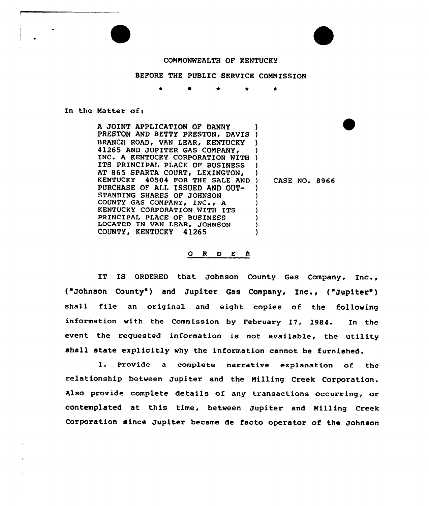



## COMMONWEALTH OF KENTUCKY

## BEFORE THE PUBLIC SERVICE COMMISSION

\*

In the Matter of:

A JOINT APPLICATION OF DANNY PRESTON AND BETTY PRESTON, DAVI BRANCH ROAD, VAN LEAR, KENTUCKY 41265 AND JUPITER GAS COMPANY, INC. A KENTUCKY CORPORATION WITH ITS PRINCIPAL PLACE OF BUSINESS AT 865 SPARTA COURT, LEXINGTON, KENTUCKY 40504 FOR THE SALE AND PURCHASE OF ALL ISSUED AND OUT-STANDING SHARES OF JOHNSON COUNTY GAS COMPANY, INC., A KENTUCKY CORPORATION WITH ITS PRINCIPAL PLACE OF BUSINESS LOCATED IN VAN LEAR, JOHNSON COUNTY, KENTUCKY 41265 ) ) ) ) ) ) ) ) ) ) ) ) ) )

) CASE NO. 8966

## 0 <sup>R</sup> <sup>D</sup> E <sup>R</sup>

IT IS ORDERED that Johnson County Gas Company, Inc., ("Johnson County") and Jupiter Gas Company, Inc., ("Jupiter") shall file an original and eight copies of the following information with the Commission by February 17, 1984. In the event the requested information is not available, the utility shall state explicitly why the information cannot be furnished.

l. Provide <sup>a</sup> complete narrative explanation of the relationship between Jupiter and the Milling Creek Corporation. Also provide complete details of any transactions occurring, or contemplated at this time, between Jupiter and Milling Creek Corporation since Jupiter became de facto operator of the Johnson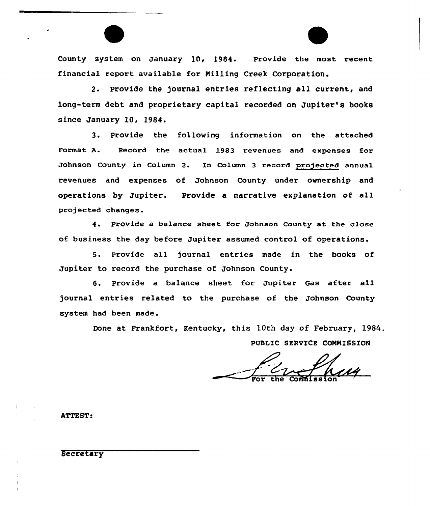County system on January 10, 1984. Provide the most recent financial report available for Milling Creek Corporation.

2. Provide the journal entries reflecting all current, and long-term debt and proprietary capital recorded on Jupiter's books since January 10, 1984.

3. Provide the following information on the attached Format A. Record the actual 1983 revenues and expenses for Johnson County in Column 2. In Column <sup>3</sup> record projected annual revenues and expenses of Johnson County under ownership and operations by Jupiter. Provide a narrative explanation of all projected changes.

4. Provide a balance sheet for Johnson County at the close of business the day befoxe Jupiter assumed control of opexations.

5. Pxovide all journal entries made in the books of Jupiter to record the purchase of Johnson County.

6. Provide a balance sheet. for Jupiter Gas after all journal entries related to the purchase of the Johnson County system had been made.

Done at Frankfort, Kentucky, this 10th day of February, 1984.

PUBLIC SERVICE COMMISSION

 $\frac{C}{\sqrt{R}}$  for the Commission

ATTEST:

Secretary